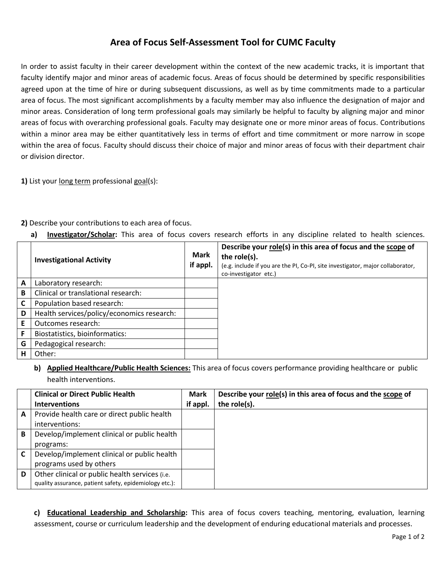# **Area of Focus Self-Assessment Tool for CUMC Faculty**

In order to assist faculty in their career development within the context of the new academic tracks, it is important that faculty identify major and minor areas of academic focus. Areas of focus should be determined by specific responsibilities agreed upon at the time of hire or during subsequent discussions, as well as by time commitments made to a particular area of focus. The most significant accomplishments by a faculty member may also influence the designation of major and minor areas. Consideration of long term professional goals may similarly be helpful to faculty by aligning major and minor areas of focus with overarching professional goals. Faculty may designate one or more minor areas of focus. Contributions within a minor area may be either quantitatively less in terms of effort and time commitment or more narrow in scope within the area of focus. Faculty should discuss their choice of major and minor areas of focus with their department chair or division director.

**1)** List your long term professional goal(s):

#### **2)** Describe your contributions to each area of focus.

**a) Investigator/Scholar:** This area of focus covers research efforts in any discipline related to health sciences.

|    | <b>Investigational Activity</b>            | Mark<br>if appl. | Describe your role(s) in this area of focus and the scope of<br>the role(s).<br>(e.g. include if you are the PI, Co-PI, site investigator, major collaborator,<br>co-investigator etc.) |
|----|--------------------------------------------|------------------|-----------------------------------------------------------------------------------------------------------------------------------------------------------------------------------------|
| A  | Laboratory research:                       |                  |                                                                                                                                                                                         |
| B  | Clinical or translational research:        |                  |                                                                                                                                                                                         |
|    | Population based research:                 |                  |                                                                                                                                                                                         |
| D  | Health services/policy/economics research: |                  |                                                                                                                                                                                         |
| F. | Outcomes research:                         |                  |                                                                                                                                                                                         |
| F  | Biostatistics, bioinformatics:             |                  |                                                                                                                                                                                         |
| G  | Pedagogical research:                      |                  |                                                                                                                                                                                         |
| н  | Other:                                     |                  |                                                                                                                                                                                         |

### **b) Applied Healthcare/Public Health Sciences:** This area of focus covers performance providing healthcare or public health interventions.

|   | <b>Clinical or Direct Public Health</b>                | <b>Mark</b> | Describe your role(s) in this area of focus and the scope of |
|---|--------------------------------------------------------|-------------|--------------------------------------------------------------|
|   | <b>Interventions</b>                                   | if appl.    | the role(s).                                                 |
| А | Provide health care or direct public health            |             |                                                              |
|   | interventions:                                         |             |                                                              |
| В | Develop/implement clinical or public health            |             |                                                              |
|   | programs:                                              |             |                                                              |
| C | Develop/implement clinical or public health            |             |                                                              |
|   | programs used by others                                |             |                                                              |
| D | Other clinical or public health services (i.e.         |             |                                                              |
|   | quality assurance, patient safety, epidemiology etc.): |             |                                                              |

**c) Educational Leadership and Scholarship:** This area of focus covers teaching, mentoring, evaluation, learning assessment, course or curriculum leadership and the development of enduring educational materials and processes.